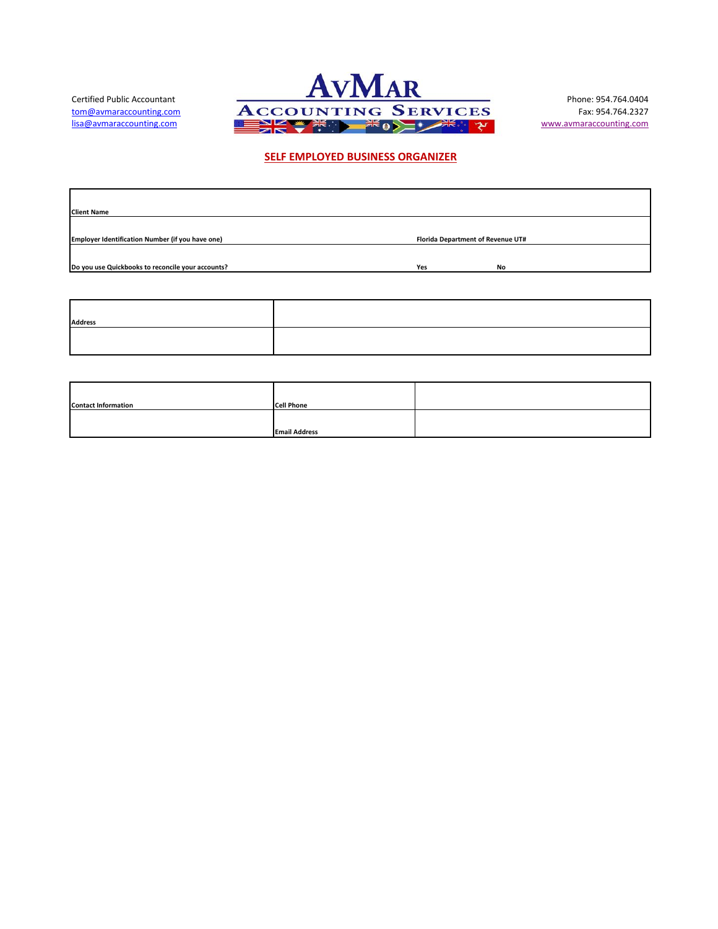

## **SELF EMPLOYED BUSINESS ORGANIZER**

| <b>Client Name</b>                                |                                   |           |  |
|---------------------------------------------------|-----------------------------------|-----------|--|
|                                                   |                                   |           |  |
| Employer Identification Number (if you have one)  | Florida Department of Revenue UT# |           |  |
|                                                   |                                   |           |  |
| Do you use Quickbooks to reconcile your accounts? | Yes                               | <b>No</b> |  |
|                                                   |                                   |           |  |

| <b>Address</b> |  |
|----------------|--|
|                |  |
|                |  |

| <b>Contact Information</b> | <b>Cell Phone</b>    |  |
|----------------------------|----------------------|--|
|                            |                      |  |
|                            |                      |  |
|                            | <b>Email Address</b> |  |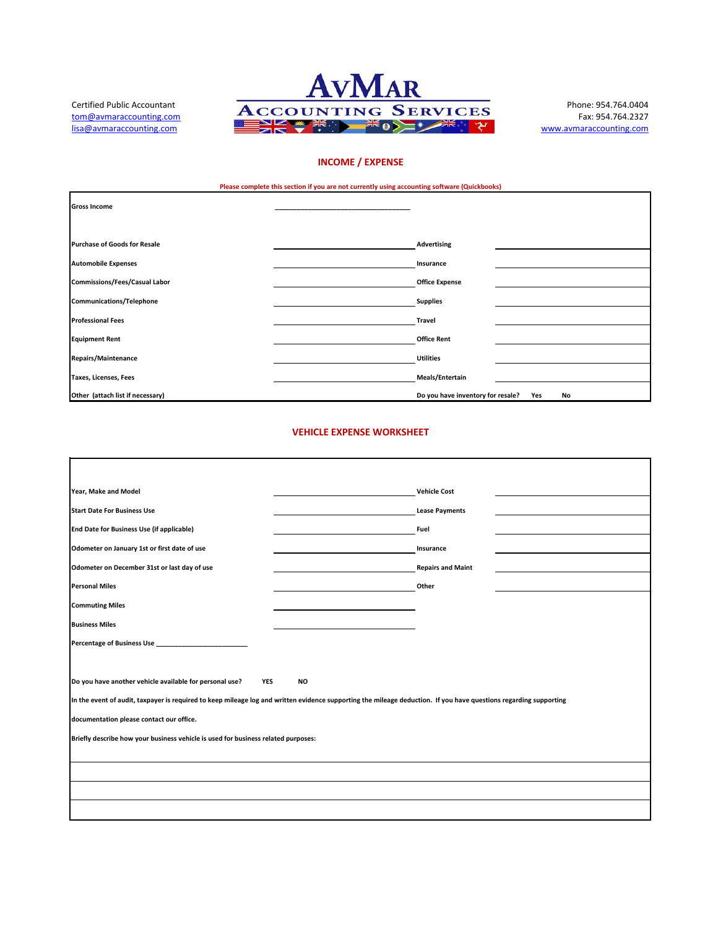

Ħ.

# **INCOME / EXPENSE**

**Please complete this section if you are not currently using accounting software (Quickbooks)**

|                                      | <b>These complete this section in you are not carrierity worky accounting solutions (spicified in )</b> |                                                |
|--------------------------------------|---------------------------------------------------------------------------------------------------------|------------------------------------------------|
| <b>Gross Income</b>                  |                                                                                                         |                                                |
|                                      |                                                                                                         |                                                |
|                                      |                                                                                                         |                                                |
| <b>Purchase of Goods for Resale</b>  | <b>Advertising</b>                                                                                      |                                                |
| <b>Automobile Expenses</b>           | Insurance                                                                                               |                                                |
|                                      |                                                                                                         |                                                |
| <b>Commissions/Fees/Casual Labor</b> | <b>Office Expense</b>                                                                                   |                                                |
| <b>Communications/Telephone</b>      | <b>Supplies</b>                                                                                         |                                                |
| <b>Professional Fees</b>             | <b>Travel</b>                                                                                           |                                                |
|                                      |                                                                                                         |                                                |
| <b>Equipment Rent</b>                | <b>Office Rent</b>                                                                                      |                                                |
| <b>Repairs/Maintenance</b>           | <b>Utilities</b>                                                                                        |                                                |
| Taxes, Licenses, Fees                | Meals/Entertain                                                                                         |                                                |
| Other (attach list if necessary)     |                                                                                                         | Do you have inventory for resale?<br>Yes<br>No |

## **VEHICLE EXPENSE WORKSHEET**

| Year, Make and Model                                                                                                                                              |           | <b>Vehicle Cost</b>      |  |
|-------------------------------------------------------------------------------------------------------------------------------------------------------------------|-----------|--------------------------|--|
| <b>Start Date For Business Use</b>                                                                                                                                |           | <b>Lease Payments</b>    |  |
| End Date for Business Use (if applicable)                                                                                                                         |           | Fuel                     |  |
| Odometer on January 1st or first date of use                                                                                                                      |           | Insurance                |  |
| Odometer on December 31st or last day of use                                                                                                                      |           | <b>Repairs and Maint</b> |  |
| <b>Personal Miles</b>                                                                                                                                             |           | Other                    |  |
| <b>Commuting Miles</b>                                                                                                                                            |           |                          |  |
| <b>Business Miles</b>                                                                                                                                             |           |                          |  |
|                                                                                                                                                                   |           |                          |  |
|                                                                                                                                                                   |           |                          |  |
| Do you have another vehicle available for personal use?<br><b>YES</b>                                                                                             | <b>NO</b> |                          |  |
| In the event of audit, taxpayer is required to keep mileage log and written evidence supporting the mileage deduction. If you have questions regarding supporting |           |                          |  |
| documentation please contact our office.                                                                                                                          |           |                          |  |
| Briefly describe how your business vehicle is used for business related purposes:                                                                                 |           |                          |  |
|                                                                                                                                                                   |           |                          |  |
|                                                                                                                                                                   |           |                          |  |
|                                                                                                                                                                   |           |                          |  |
|                                                                                                                                                                   |           |                          |  |